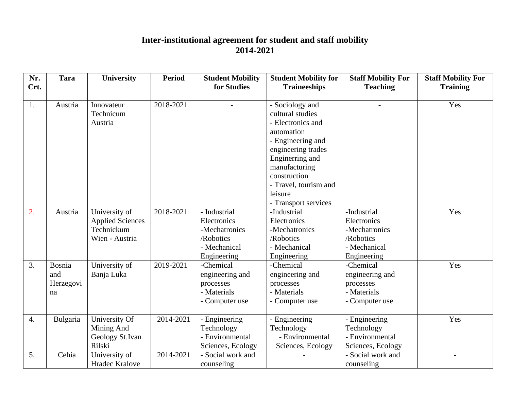## **Inter-institutional agreement for student and staff mobility 2014-2021**

| Nr.<br>Crt.      | <b>Tara</b>                      | <b>University</b>                                                        | <b>Period</b> | <b>Student Mobility</b><br>for Studies                                                   | <b>Student Mobility for</b><br><b>Traineeships</b>                                                                  | <b>Staff Mobility For</b><br><b>Teaching</b>                                            | <b>Staff Mobility For</b><br><b>Training</b> |
|------------------|----------------------------------|--------------------------------------------------------------------------|---------------|------------------------------------------------------------------------------------------|---------------------------------------------------------------------------------------------------------------------|-----------------------------------------------------------------------------------------|----------------------------------------------|
| 1.               | Austria                          | Innovateur<br>Technicum<br>Austria                                       | 2018-2021     |                                                                                          | - Sociology and<br>cultural studies<br>- Electronics and<br>automation<br>- Engineering and<br>engineering trades – |                                                                                         | Yes                                          |
|                  |                                  |                                                                          |               |                                                                                          | Enginerring and<br>manufacturing<br>construction<br>- Travel, tourism and<br>leisure<br>- Transport services        |                                                                                         |                                              |
| 2.               | Austria                          | University of<br><b>Applied Sciences</b><br>Technickum<br>Wien - Austria | 2018-2021     | - Industrial<br>Electronics<br>-Mechatronics<br>/Robotics<br>- Mechanical<br>Engineering | -Industrial<br>Electronics<br>-Mechatronics<br>/Robotics<br>- Mechanical<br>Engineering                             | -Industrial<br>Electronics<br>-Mechatronics<br>/Robotics<br>- Mechanical<br>Engineering | Yes                                          |
| 3.               | Bosnia<br>and<br>Herzegovi<br>na | University of<br>Banja Luka                                              | 2019-2021     | -Chemical<br>engineering and<br>processes<br>- Materials<br>- Computer use               | -Chemical<br>engineering and<br>processes<br>- Materials<br>- Computer use                                          | -Chemical<br>engineering and<br>processes<br>- Materials<br>- Computer use              | Yes                                          |
| $\overline{4}$ . | Bulgaria                         | University Of<br>Mining And<br>Geology St.Ivan<br>Rilski                 | 2014-2021     | - Engineering<br>Technology<br>- Environmental<br>Sciences, Ecology                      | - Engineering<br>Technology<br>- Environmental<br>Sciences, Ecology                                                 | - Engineering<br>Technology<br>- Environmental<br>Sciences, Ecology                     | Yes                                          |
| 5.               | Cehia                            | University of<br><b>Hradec Kralove</b>                                   | 2014-2021     | - Social work and<br>counseling                                                          |                                                                                                                     | - Social work and<br>counseling                                                         |                                              |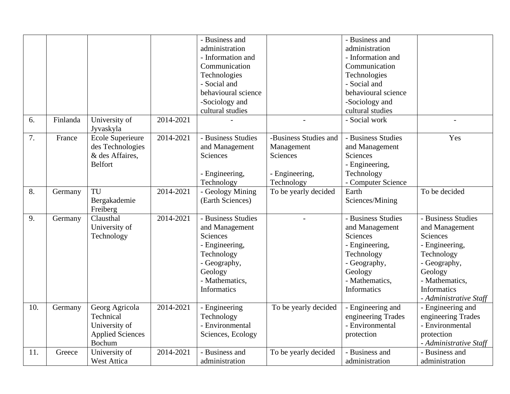|     |          |                         |           | - Business and      |                          | - Business and      |                        |
|-----|----------|-------------------------|-----------|---------------------|--------------------------|---------------------|------------------------|
|     |          |                         |           | administration      |                          | administration      |                        |
|     |          |                         |           | - Information and   |                          | - Information and   |                        |
|     |          |                         |           | Communication       |                          | Communication       |                        |
|     |          |                         |           | Technologies        |                          | Technologies        |                        |
|     |          |                         |           | - Social and        |                          | - Social and        |                        |
|     |          |                         |           | behavioural science |                          | behavioural science |                        |
|     |          |                         |           | -Sociology and      |                          | -Sociology and      |                        |
|     |          |                         |           | cultural studies    |                          | cultural studies    |                        |
| 6.  | Finlanda | University of           | 2014-2021 |                     | $\overline{\phantom{a}}$ | - Social work       | $\overline{a}$         |
|     |          | Jyvaskyla               |           |                     |                          |                     |                        |
| 7.  | France   | <b>Ecole Superieure</b> | 2014-2021 | - Business Studies  | -Business Studies and    | - Business Studies  | Yes                    |
|     |          | des Technologies        |           | and Management      | Management               | and Management      |                        |
|     |          | & des Affaires,         |           | Sciences            | Sciences                 | Sciences            |                        |
|     |          | <b>Belfort</b>          |           |                     |                          | - Engineering,      |                        |
|     |          |                         |           | - Engineering,      | - Engineering,           | Technology          |                        |
|     |          |                         |           | Technology          | Technology               | - Computer Science  |                        |
| 8.  | Germany  | TU                      | 2014-2021 | - Geology Mining    | To be yearly decided     | Earth               | To be decided          |
|     |          | Bergakademie            |           | (Earth Sciences)    |                          | Sciences/Mining     |                        |
|     |          | Freiberg                |           |                     |                          |                     |                        |
| 9.  | Germany  | Clausthal               | 2014-2021 | - Business Studies  | $\overline{\phantom{a}}$ | - Business Studies  | - Business Studies     |
|     |          | University of           |           | and Management      |                          | and Management      | and Management         |
|     |          | Technology              |           | Sciences            |                          | Sciences            | Sciences               |
|     |          |                         |           | - Engineering,      |                          | - Engineering,      | - Engineering,         |
|     |          |                         |           | Technology          |                          | Technology          | Technology             |
|     |          |                         |           | - Geography,        |                          | - Geography,        | - Geography,           |
|     |          |                         |           | Geology             |                          | Geology             | Geology                |
|     |          |                         |           | - Mathematics,      |                          | - Mathematics,      | - Mathematics,         |
|     |          |                         |           | <b>Informatics</b>  |                          | Informatics         | <b>Informatics</b>     |
|     |          |                         |           |                     |                          |                     | - Administrative Staff |
| 10. | Germany  | Georg Agricola          | 2014-2021 | - Engineering       | To be yearly decided     | - Engineering and   | - Engineering and      |
|     |          | Technical               |           | Technology          |                          | engineering Trades  | engineering Trades     |
|     |          | University of           |           | - Environmental     |                          | - Environmental     | - Environmental        |
|     |          | <b>Applied Sciences</b> |           | Sciences, Ecology   |                          | protection          | protection             |
|     |          | Bochum                  |           |                     |                          |                     | - Administrative Staff |
| 11. | Greece   | University of           | 2014-2021 | - Business and      | To be yearly decided     | - Business and      | - Business and         |
|     |          | <b>West Attica</b>      |           | administration      |                          | administration      | administration         |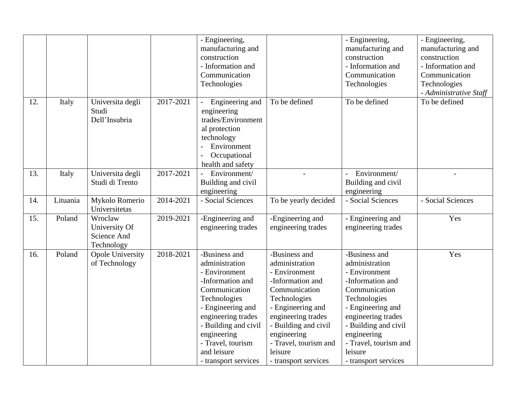|     |          |                                                       |           | - Engineering,<br>manufacturing and<br>construction<br>- Information and<br>Communication<br>Technologies                                                                                                                                           |                                                                                                                                                                                                                                                     | - Engineering,<br>manufacturing and<br>construction<br>- Information and<br>Communication<br>Technologies                                                                                                                                           | - Engineering,<br>manufacturing and<br>construction<br>- Information and<br>Communication<br>Technologies<br>- Administrative Staff |
|-----|----------|-------------------------------------------------------|-----------|-----------------------------------------------------------------------------------------------------------------------------------------------------------------------------------------------------------------------------------------------------|-----------------------------------------------------------------------------------------------------------------------------------------------------------------------------------------------------------------------------------------------------|-----------------------------------------------------------------------------------------------------------------------------------------------------------------------------------------------------------------------------------------------------|-------------------------------------------------------------------------------------------------------------------------------------|
| 12. | Italy    | Universita degli<br>Studi<br>Dell'Insubria            | 2017-2021 | Engineering and<br>engineering<br>trades/Environment<br>al protection<br>technology<br>Environment<br>Occupational<br>health and safety                                                                                                             | To be defined                                                                                                                                                                                                                                       | To be defined                                                                                                                                                                                                                                       | To be defined                                                                                                                       |
| 13. | Italy    | Universita degli<br>Studi di Trento                   | 2017-2021 | Environment/<br>Building and civil<br>engineering                                                                                                                                                                                                   | $\overline{a}$                                                                                                                                                                                                                                      | Environment/<br>$\overline{a}$<br>Building and civil<br>engineering                                                                                                                                                                                 | $\overline{a}$                                                                                                                      |
| 14. | Lituania | Mykolo Romerio<br>Universitetas                       | 2014-2021 | - Social Sciences                                                                                                                                                                                                                                   | To be yearly decided                                                                                                                                                                                                                                | - Social Sciences                                                                                                                                                                                                                                   | - Social Sciences                                                                                                                   |
| 15. | Poland   | Wroclaw<br>University Of<br>Science And<br>Technology | 2019-2021 | -Engineering and<br>engineering trades                                                                                                                                                                                                              | -Engineering and<br>engineering trades                                                                                                                                                                                                              | - Engineering and<br>engineering trades                                                                                                                                                                                                             | Yes                                                                                                                                 |
| 16. | Poland   | <b>Opole University</b><br>of Technology              | 2018-2021 | -Business and<br>administration<br>- Environment<br>-Information and<br>Communication<br>Technologies<br>- Engineering and<br>engineering trades<br>- Building and civil<br>engineering<br>- Travel, tourism<br>and leisure<br>- transport services | -Business and<br>administration<br>- Environment<br>-Information and<br>Communication<br>Technologies<br>- Engineering and<br>engineering trades<br>- Building and civil<br>engineering<br>- Travel, tourism and<br>leisure<br>- transport services | -Business and<br>administration<br>- Environment<br>-Information and<br>Communication<br>Technologies<br>- Engineering and<br>engineering trades<br>- Building and civil<br>engineering<br>- Travel, tourism and<br>leisure<br>- transport services | Yes                                                                                                                                 |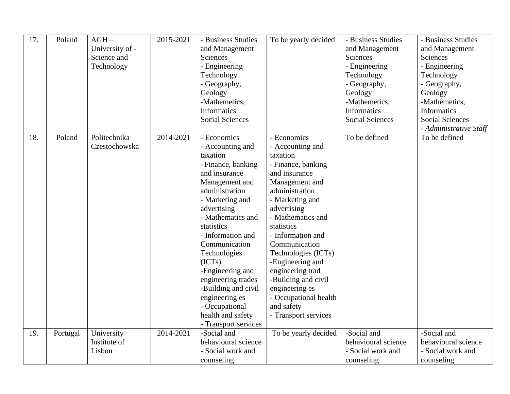| 17. | Poland   | $AGH -$<br>University of -<br>Science and<br>Technology | 2015-2021 | - Business Studies<br>and Management<br>Sciences<br>- Engineering<br>Technology<br>- Geography,<br>Geology<br>-Mathemetics,<br><b>Informatics</b> | To be yearly decided              | - Business Studies<br>and Management<br>Sciences<br>- Engineering<br>Technology<br>- Geography,<br>Geology<br>-Mathemetics,<br><b>Informatics</b> | - Business Studies<br>and Management<br>Sciences<br>- Engineering<br>Technology<br>- Geography,<br>Geology<br>-Mathemetics,<br><b>Informatics</b> |
|-----|----------|---------------------------------------------------------|-----------|---------------------------------------------------------------------------------------------------------------------------------------------------|-----------------------------------|---------------------------------------------------------------------------------------------------------------------------------------------------|---------------------------------------------------------------------------------------------------------------------------------------------------|
|     |          |                                                         |           | <b>Social Sciences</b>                                                                                                                            |                                   | <b>Social Sciences</b>                                                                                                                            | <b>Social Sciences</b>                                                                                                                            |
| 18. | Poland   | Politechnika                                            | 2014-2021 | - Economics                                                                                                                                       | - Economics                       | To be defined                                                                                                                                     | - Administrative Staff<br>To be defined                                                                                                           |
|     |          | Czestochowska                                           |           | - Accounting and<br>taxation                                                                                                                      | - Accounting and<br>taxation      |                                                                                                                                                   |                                                                                                                                                   |
|     |          |                                                         |           | - Finance, banking                                                                                                                                | - Finance, banking                |                                                                                                                                                   |                                                                                                                                                   |
|     |          |                                                         |           | and insurance                                                                                                                                     | and insurance                     |                                                                                                                                                   |                                                                                                                                                   |
|     |          |                                                         |           | Management and                                                                                                                                    | Management and                    |                                                                                                                                                   |                                                                                                                                                   |
|     |          |                                                         |           | administration<br>- Marketing and                                                                                                                 | administration<br>- Marketing and |                                                                                                                                                   |                                                                                                                                                   |
|     |          |                                                         |           | advertising                                                                                                                                       | advertising                       |                                                                                                                                                   |                                                                                                                                                   |
|     |          |                                                         |           | - Mathematics and                                                                                                                                 | - Mathematics and                 |                                                                                                                                                   |                                                                                                                                                   |
|     |          |                                                         |           | statistics                                                                                                                                        | statistics                        |                                                                                                                                                   |                                                                                                                                                   |
|     |          |                                                         |           | - Information and                                                                                                                                 | - Information and                 |                                                                                                                                                   |                                                                                                                                                   |
|     |          |                                                         |           | Communication                                                                                                                                     | Communication                     |                                                                                                                                                   |                                                                                                                                                   |
|     |          |                                                         |           | Technologies                                                                                                                                      | Technologies (ICTs)               |                                                                                                                                                   |                                                                                                                                                   |
|     |          |                                                         |           | (ICTs)                                                                                                                                            | -Engineering and                  |                                                                                                                                                   |                                                                                                                                                   |
|     |          |                                                         |           | -Engineering and                                                                                                                                  | engineering trad                  |                                                                                                                                                   |                                                                                                                                                   |
|     |          |                                                         |           | engineering trades                                                                                                                                | -Building and civil               |                                                                                                                                                   |                                                                                                                                                   |
|     |          |                                                         |           | -Building and civil                                                                                                                               | engineering es                    |                                                                                                                                                   |                                                                                                                                                   |
|     |          |                                                         |           | engineering es                                                                                                                                    | - Occupational health             |                                                                                                                                                   |                                                                                                                                                   |
|     |          |                                                         |           | - Occupational                                                                                                                                    | and safety                        |                                                                                                                                                   |                                                                                                                                                   |
|     |          |                                                         |           | health and safety<br>- Transport services                                                                                                         | - Transport services              |                                                                                                                                                   |                                                                                                                                                   |
| 19. | Portugal | University                                              | 2014-2021 | -Social and                                                                                                                                       | To be yearly decided              | -Social and                                                                                                                                       | -Social and                                                                                                                                       |
|     |          | Institute of                                            |           | behavioural science                                                                                                                               |                                   | behavioural science                                                                                                                               | behavioural science                                                                                                                               |
|     |          | Lisbon                                                  |           | - Social work and                                                                                                                                 |                                   | - Social work and                                                                                                                                 | - Social work and                                                                                                                                 |
|     |          |                                                         |           | counseling                                                                                                                                        |                                   | counseling                                                                                                                                        | counseling                                                                                                                                        |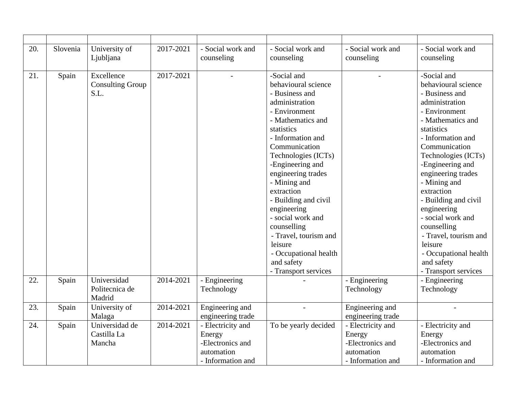| 20. | Slovenia | University of<br>Ljubljana                    | 2017-2021 | - Social work and<br>counseling                                                    | - Social work and<br>counseling                                                                                                                                                                                                                                                                                                                                                                                                               | - Social work and<br>counseling                                                    | - Social work and<br>counseling                                                                                                                                                                                                                                                                                                                                                                                                               |
|-----|----------|-----------------------------------------------|-----------|------------------------------------------------------------------------------------|-----------------------------------------------------------------------------------------------------------------------------------------------------------------------------------------------------------------------------------------------------------------------------------------------------------------------------------------------------------------------------------------------------------------------------------------------|------------------------------------------------------------------------------------|-----------------------------------------------------------------------------------------------------------------------------------------------------------------------------------------------------------------------------------------------------------------------------------------------------------------------------------------------------------------------------------------------------------------------------------------------|
| 21. | Spain    | Excellence<br><b>Consulting Group</b><br>S.L. | 2017-2021 |                                                                                    | -Social and<br>behavioural science<br>- Business and<br>administration<br>- Environment<br>- Mathematics and<br>statistics<br>- Information and<br>Communication<br>Technologies (ICTs)<br>-Engineering and<br>engineering trades<br>- Mining and<br>extraction<br>- Building and civil<br>engineering<br>- social work and<br>counselling<br>- Travel, tourism and<br>leisure<br>- Occupational health<br>and safety<br>- Transport services |                                                                                    | -Social and<br>behavioural science<br>- Business and<br>administration<br>- Environment<br>- Mathematics and<br>statistics<br>- Information and<br>Communication<br>Technologies (ICTs)<br>-Engineering and<br>engineering trades<br>- Mining and<br>extraction<br>- Building and civil<br>engineering<br>- social work and<br>counselling<br>- Travel, tourism and<br>leisure<br>- Occupational health<br>and safety<br>- Transport services |
| 22. | Spain    | Universidad<br>Politecnica de<br>Madrid       | 2014-2021 | - Engineering<br>Technology                                                        |                                                                                                                                                                                                                                                                                                                                                                                                                                               | - Engineering<br>Technology                                                        | - Engineering<br>Technology                                                                                                                                                                                                                                                                                                                                                                                                                   |
| 23. | Spain    | University of<br>Malaga                       | 2014-2021 | Engineering and<br>engineering trade                                               |                                                                                                                                                                                                                                                                                                                                                                                                                                               | Engineering and<br>engineering trade                                               |                                                                                                                                                                                                                                                                                                                                                                                                                                               |
| 24. | Spain    | Universidad de<br>Castilla La<br>Mancha       | 2014-2021 | - Electricity and<br>Energy<br>-Electronics and<br>automation<br>- Information and | To be yearly decided                                                                                                                                                                                                                                                                                                                                                                                                                          | - Electricity and<br>Energy<br>-Electronics and<br>automation<br>- Information and | - Electricity and<br>Energy<br>-Electronics and<br>automation<br>- Information and                                                                                                                                                                                                                                                                                                                                                            |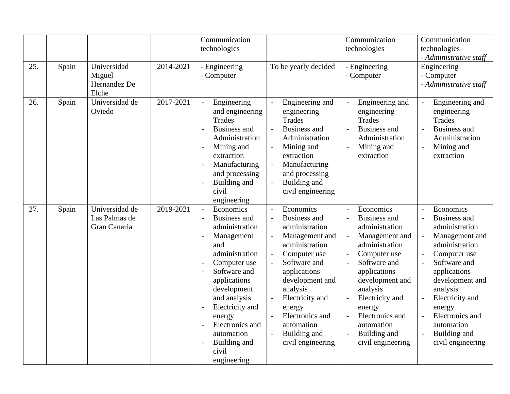|     |       |                                                 |           | Communication<br>technologies                                                                                                                                                                                                                                                                                                                                                          |                                                                                                                                                                                                                                                                          | Communication<br>technologies                                                                                                                                                                                                                                            | Communication<br>technologies<br>- Administrative staff                                                                                                                                                                                                                  |
|-----|-------|-------------------------------------------------|-----------|----------------------------------------------------------------------------------------------------------------------------------------------------------------------------------------------------------------------------------------------------------------------------------------------------------------------------------------------------------------------------------------|--------------------------------------------------------------------------------------------------------------------------------------------------------------------------------------------------------------------------------------------------------------------------|--------------------------------------------------------------------------------------------------------------------------------------------------------------------------------------------------------------------------------------------------------------------------|--------------------------------------------------------------------------------------------------------------------------------------------------------------------------------------------------------------------------------------------------------------------------|
| 25. | Spain | Universidad<br>Miguel<br>Hernandez De<br>Elche  | 2014-2021 | - Engineering<br>- Computer                                                                                                                                                                                                                                                                                                                                                            | To be yearly decided                                                                                                                                                                                                                                                     | - Engineering<br>- Computer                                                                                                                                                                                                                                              | Engineering<br>- Computer<br>- Administrative staff                                                                                                                                                                                                                      |
| 26. | Spain | Universidad de<br>Oviedo                        | 2017-2021 | Engineering<br>$\equiv$<br>and engineering<br><b>Trades</b><br><b>Business and</b><br>$\overline{a}$<br>Administration<br>Mining and<br>$\overline{\phantom{a}}$<br>extraction<br>Manufacturing<br>$\overline{a}$<br>and processing<br>Building and<br>$\overline{a}$<br>civil<br>engineering                                                                                          | Engineering and<br>$\overline{a}$<br>engineering<br>Trades<br><b>Business and</b><br>Administration<br>Mining and<br>extraction<br>Manufacturing<br>and processing<br>Building and<br>civil engineering                                                                  | Engineering and<br>engineering<br><b>Trades</b><br><b>Business and</b><br>Administration<br>Mining and<br>extraction                                                                                                                                                     | Engineering and<br>$\overline{a}$<br>engineering<br><b>Trades</b><br><b>Business and</b><br>$\overline{a}$<br>Administration<br>Mining and<br>$\overline{a}$<br>extraction                                                                                               |
| 27. | Spain | Universidad de<br>Las Palmas de<br>Gran Canaria | 2019-2021 | Economics<br>$\equiv$<br><b>Business and</b><br>$\overline{\phantom{a}}$<br>administration<br>Management<br>$\overline{a}$<br>and<br>administration<br>Computer use<br>Software and<br>$\overline{\phantom{a}}$<br>applications<br>development<br>and analysis<br>Electricity and<br>energy<br>Electronics and<br>automation<br>Building and<br>$\overline{a}$<br>civil<br>engineering | Economics<br><b>Business and</b><br>administration<br>Management and<br>administration<br>Computer use<br>Software and<br>applications<br>development and<br>analysis<br>Electricity and<br>energy<br>Electronics and<br>automation<br>Building and<br>civil engineering | Economics<br><b>Business and</b><br>administration<br>Management and<br>administration<br>Computer use<br>Software and<br>applications<br>development and<br>analysis<br>Electricity and<br>energy<br>Electronics and<br>automation<br>Building and<br>civil engineering | Economics<br><b>Business and</b><br>administration<br>Management and<br>administration<br>Computer use<br>Software and<br>applications<br>development and<br>analysis<br>Electricity and<br>energy<br>Electronics and<br>automation<br>Building and<br>civil engineering |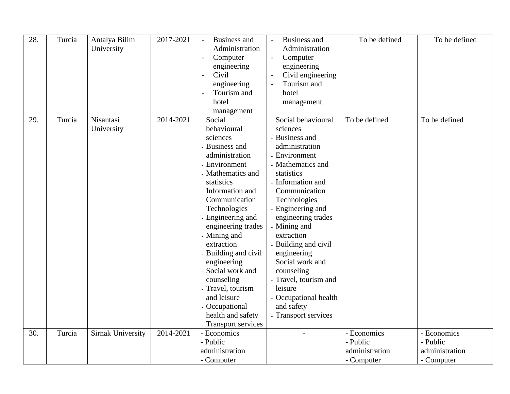| 28. | Turcia | Antalya Bilim<br>University | 2017-2021 | <b>Business and</b><br>$\blacksquare$<br>Administration<br>Computer<br>$\overline{\phantom{a}}$<br>engineering<br>Civil<br>$\overline{\phantom{a}}$<br>engineering<br>Tourism and<br>$\overline{\phantom{a}}$<br>hotel<br>management                                                                                                                                                                                          | <b>Business and</b><br>Administration<br>Computer<br>engineering<br>Civil engineering<br>Tourism and<br>hotel<br>management                                                                                                                                                                                                                                                                                                        | To be defined              | To be defined              |
|-----|--------|-----------------------------|-----------|-------------------------------------------------------------------------------------------------------------------------------------------------------------------------------------------------------------------------------------------------------------------------------------------------------------------------------------------------------------------------------------------------------------------------------|------------------------------------------------------------------------------------------------------------------------------------------------------------------------------------------------------------------------------------------------------------------------------------------------------------------------------------------------------------------------------------------------------------------------------------|----------------------------|----------------------------|
| 29. | Turcia | Nisantasi<br>University     | 2014-2021 | Social<br>behavioural<br>sciences<br>Business and<br>administration<br>- Environment<br>- Mathematics and<br>statistics<br>- Information and<br>Communication<br>Technologies<br>Engineering and<br>engineering trades<br>- Mining and<br>extraction<br>Building and civil<br>engineering<br>Social work and<br>counseling<br>- Travel, tourism<br>and leisure<br>- Occupational<br>health and safety<br>- Transport services | Social behavioural<br>sciences<br>- Business and<br>administration<br>- Environment<br>- Mathematics and<br>statistics<br>- Information and<br>Communication<br>Technologies<br>- Engineering and<br>engineering trades<br>- Mining and<br>extraction<br>- Building and civil<br>engineering<br>- Social work and<br>counseling<br>- Travel, tourism and<br>leisure<br>- Occupational health<br>and safety<br>- Transport services | To be defined              | To be defined              |
| 30. | Turcia | <b>Sirnak University</b>    | 2014-2021 | - Economics                                                                                                                                                                                                                                                                                                                                                                                                                   |                                                                                                                                                                                                                                                                                                                                                                                                                                    | - Economics                | - Economics                |
|     |        |                             |           | - Public<br>administration                                                                                                                                                                                                                                                                                                                                                                                                    |                                                                                                                                                                                                                                                                                                                                                                                                                                    | - Public<br>administration | - Public<br>administration |
|     |        |                             |           | - Computer                                                                                                                                                                                                                                                                                                                                                                                                                    |                                                                                                                                                                                                                                                                                                                                                                                                                                    | - Computer                 | - Computer                 |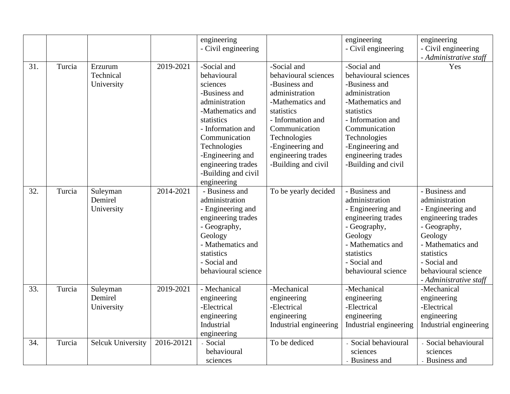|     |        |                          |            | engineering         |                        | engineering            | engineering            |
|-----|--------|--------------------------|------------|---------------------|------------------------|------------------------|------------------------|
|     |        |                          |            | - Civil engineering |                        | - Civil engineering    | - Civil engineering    |
|     |        |                          |            |                     |                        |                        | - Administrative staff |
| 31. | Turcia | Erzurum                  | 2019-2021  | -Social and         | -Social and            | -Social and            | Yes                    |
|     |        | Technical                |            | behavioural         | behavioural sciences   | behavioural sciences   |                        |
|     |        | University               |            | sciences            | -Business and          | -Business and          |                        |
|     |        |                          |            | -Business and       | administration         | administration         |                        |
|     |        |                          |            | administration      | -Mathematics and       | -Mathematics and       |                        |
|     |        |                          |            | -Mathematics and    | statistics             | statistics             |                        |
|     |        |                          |            | statistics          | - Information and      | - Information and      |                        |
|     |        |                          |            | - Information and   | Communication          | Communication          |                        |
|     |        |                          |            | Communication       | Technologies           | Technologies           |                        |
|     |        |                          |            | Technologies        | -Engineering and       | -Engineering and       |                        |
|     |        |                          |            | -Engineering and    | engineering trades     | engineering trades     |                        |
|     |        |                          |            | engineering trades  | -Building and civil    | -Building and civil    |                        |
|     |        |                          |            | -Building and civil |                        |                        |                        |
|     |        |                          |            | engineering         |                        |                        |                        |
| 32. | Turcia | Suleyman                 | 2014-2021  | - Business and      | To be yearly decided   | - Business and         | - Business and         |
|     |        | Demirel                  |            | administration      |                        | administration         | administration         |
|     |        | University               |            | - Engineering and   |                        | - Engineering and      | - Engineering and      |
|     |        |                          |            | engineering trades  |                        | engineering trades     | engineering trades     |
|     |        |                          |            | - Geography,        |                        | - Geography,           | - Geography,           |
|     |        |                          |            | Geology             |                        | Geology                | Geology                |
|     |        |                          |            | - Mathematics and   |                        | - Mathematics and      | - Mathematics and      |
|     |        |                          |            | statistics          |                        | statistics             | statistics             |
|     |        |                          |            | - Social and        |                        | - Social and           | - Social and           |
|     |        |                          |            | behavioural science |                        | behavioural science    | behavioural science    |
|     |        |                          |            |                     |                        |                        | - Administrative staff |
| 33. | Turcia | Suleyman                 | 2019-2021  | - Mechanical        | -Mechanical            | -Mechanical            | -Mechanical            |
|     |        | Demirel                  |            | engineering         | engineering            | engineering            | engineering            |
|     |        | University               |            | -Electrical         | -Electrical            | -Electrical            | -Electrical            |
|     |        |                          |            | engineering         | engineering            | engineering            | engineering            |
|     |        |                          |            | Industrial          | Industrial engineering | Industrial engineering | Industrial engineering |
|     |        |                          |            | engineering         |                        |                        |                        |
| 34. | Turcia | <b>Selcuk University</b> | 2016-20121 | - Social            | To be dediced          | - Social behavioural   | Social behavioural     |
|     |        |                          |            | behavioural         |                        | sciences               | sciences               |
|     |        |                          |            | sciences            |                        | - Business and         | - Business and         |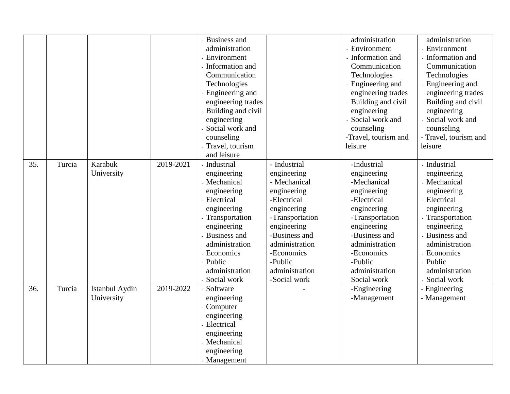|     |        |                |           | <b>Business and</b> |                 | administration       | administration        |
|-----|--------|----------------|-----------|---------------------|-----------------|----------------------|-----------------------|
|     |        |                |           | administration      |                 | - Environment        | - Environment         |
|     |        |                |           | - Environment       |                 | Information and      | - Information and     |
|     |        |                |           | Information and     |                 | Communication        | Communication         |
|     |        |                |           | Communication       |                 | Technologies         | Technologies          |
|     |        |                |           | Technologies        |                 | Engineering and      | - Engineering and     |
|     |        |                |           | Engineering and     |                 | engineering trades   | engineering trades    |
|     |        |                |           | engineering trades  |                 | Building and civil   | - Building and civil  |
|     |        |                |           | Building and civil  |                 | engineering          | engineering           |
|     |        |                |           | engineering         |                 | Social work and      | Social work and       |
|     |        |                |           | Social work and     |                 | counseling           | counseling            |
|     |        |                |           | counseling          |                 | -Travel, tourism and | - Travel, tourism and |
|     |        |                |           | Travel, tourism     |                 | leisure              | leisure               |
|     |        |                |           | and leisure         |                 |                      |                       |
| 35. | Turcia | Karabuk        | 2019-2021 | - Industrial        | - Industrial    | -Industrial          | - Industrial          |
|     |        | University     |           | engineering         | engineering     | engineering          | engineering           |
|     |        |                |           | - Mechanical        | - Mechanical    | -Mechanical          | - Mechanical          |
|     |        |                |           | engineering         | engineering     | engineering          | engineering           |
|     |        |                |           | - Electrical        | -Electrical     | -Electrical          | - Electrical          |
|     |        |                |           | engineering         | engineering     | engineering          | engineering           |
|     |        |                |           | - Transportation    | -Transportation | -Transportation      | - Transportation      |
|     |        |                |           | engineering         | engineering     | engineering          | engineering           |
|     |        |                |           | Business and        | -Business and   | -Business and        | - Business and        |
|     |        |                |           | administration      | administration  | administration       | administration        |
|     |        |                |           | - Economics         | -Economics      | -Economics           | - Economics           |
|     |        |                |           | - Public            | -Public         | -Public              | - Public              |
|     |        |                |           | administration      | administration  | administration       | administration        |
|     |        |                |           | - Social work       | -Social work    | Social work          | - Social work         |
| 36. | Turcia | Istanbul Aydin | 2019-2022 | - Software          |                 | -Engineering         | - Engineering         |
|     |        | University     |           | engineering         |                 | -Management          | - Management          |
|     |        |                |           | - Computer          |                 |                      |                       |
|     |        |                |           | engineering         |                 |                      |                       |
|     |        |                |           | - Electrical        |                 |                      |                       |
|     |        |                |           | engineering         |                 |                      |                       |
|     |        |                |           | - Mechanical        |                 |                      |                       |
|     |        |                |           | engineering         |                 |                      |                       |
|     |        |                |           | - Management        |                 |                      |                       |
|     |        |                |           |                     |                 |                      |                       |